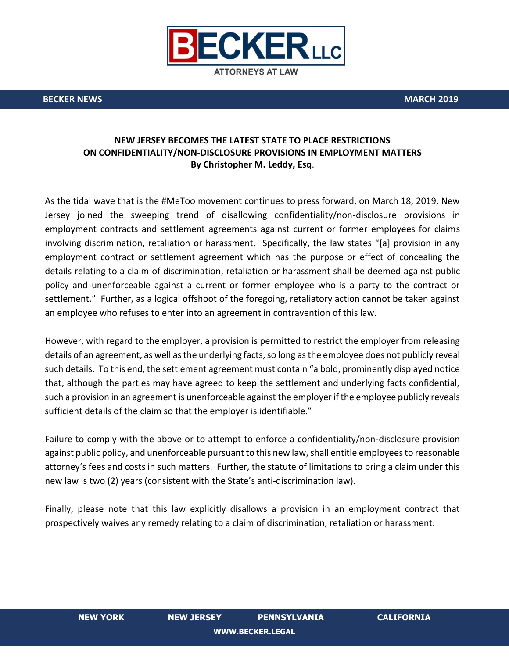

**ATTORNEYS AT LAW** 

**BECKER NEWS MARCH 2019**

## **NEW JERSEY BECOMES THE LATEST STATE TO PLACE RESTRICTIONS ON CONFIDENTIALITY/NON-DISCLOSURE PROVISIONS IN EMPLOYMENT MATTERS By Christopher M. Leddy, Esq**.

As the tidal wave that is the #MeToo movement continues to press forward, on March 18, 2019, New Jersey joined the sweeping trend of disallowing confidentiality/non-disclosure provisions in employment contracts and settlement agreements against current or former employees for claims involving discrimination, retaliation or harassment. Specifically, the law states "[a] provision in any employment contract or settlement agreement which has the purpose or effect of concealing the details relating to a claim of discrimination, retaliation or harassment shall be deemed against public policy and unenforceable against a current or former employee who is a party to the contract or settlement." Further, as a logical offshoot of the foregoing, retaliatory action cannot be taken against an employee who refuses to enter into an agreement in contravention of this law.

However, with regard to the employer, a provision is permitted to restrict the employer from releasing details of an agreement, as well as the underlying facts, so long as the employee does not publicly reveal such details. To this end, the settlement agreement must contain "a bold, prominently displayed notice that, although the parties may have agreed to keep the settlement and underlying facts confidential, such a provision in an agreement is unenforceable against the employer if the employee publicly reveals sufficient details of the claim so that the employer is identifiable."

Failure to comply with the above or to attempt to enforce a confidentiality/non-disclosure provision against public policy, and unenforceable pursuant to this new law, shall entitle employees to reasonable attorney's fees and costs in such matters. Further, the statute of limitations to bring a claim under this new law is two (2) years (consistent with the State's anti-discrimination law).

Finally, please note that this law explicitly disallows a provision in an employment contract that prospectively waives any remedy relating to a claim of discrimination, retaliation or harassment.